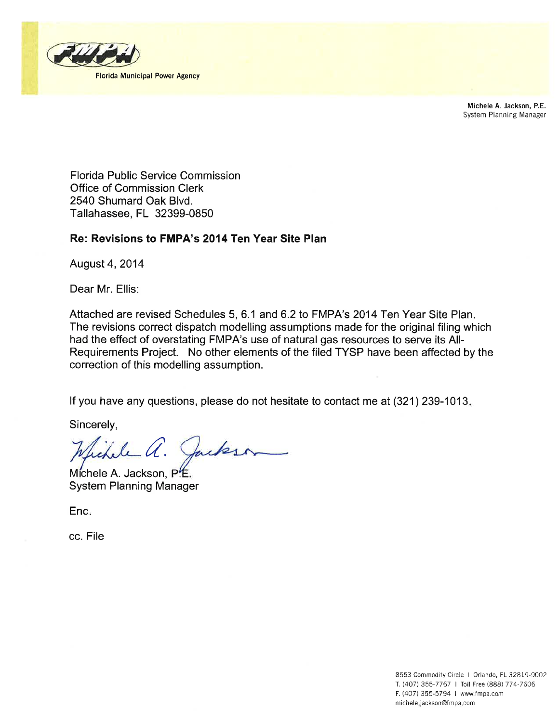

Michele A. Jackson, P.E. System Planning Manager

**Florida Public Service Commission** Office of Commission Clerk 2540 Shumard Oak Blvd. Tallahassee, FL 32399-0850

## Re: Revisions to FMPA's 2014 Ten Year Site Plan

August 4, 2014

Dear Mr. Ellis:

Attached are revised Schedules 5, 6.1 and 6.2 to FMPA's 2014 Ten Year Site Plan. The revisions correct dispatch modelling assumptions made for the original filing which had the effect of overstating FMPA's use of natural gas resources to serve its All-Requirements Project. No other elements of the filed TYSP have been affected by the correction of this modelling assumption.

If you have any questions, please do not hesitate to contact me at (321) 239-1013.

Sincerely,

Sikele a. Jackson

Michele A. Jackson, P.E. **System Planning Manager** 

Enc.

cc. File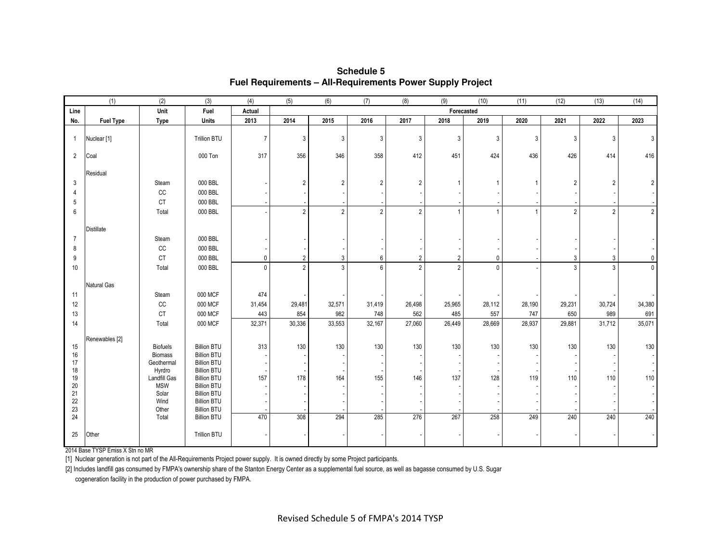|                | (1)                    | (2)                  | (3)                                      | (4)            | (5)            | $\overline{(6)}$         | (7)            | (8)            | (9)            | (10)         | (11)   | (12)           | (13)           | (14)           |
|----------------|------------------------|----------------------|------------------------------------------|----------------|----------------|--------------------------|----------------|----------------|----------------|--------------|--------|----------------|----------------|----------------|
| Line           |                        | Unit                 | Fuel                                     | Actual         |                |                          |                |                | Forecasted     |              |        |                |                |                |
| No.            | <b>Fuel Type</b>       | <b>Type</b>          | Units                                    | 2013           | 2014           | 2015                     | 2016           | 2017           | 2018           | 2019         | 2020   | 2021           | 2022           | 2023           |
| $\mathbf{1}$   | Nuclear <sup>[1]</sup> |                      | Trillion BTU                             | $\overline{7}$ | 3              | 3                        | 3              | 3              | $\mathbf{3}$   | $\mathbf{3}$ | 3      | 3              | 3              | 3              |
| $\overline{2}$ | Coal                   |                      | 000 Ton                                  | 317            | 356            | 346                      | 358            | 412            | 451            | 424          | 436    | 426            | 414            | 416            |
|                | Residual               |                      |                                          |                |                |                          |                |                |                |              |        |                |                |                |
| 3              |                        | Steam                | 000 BBL                                  |                | $\overline{2}$ | $\overline{2}$           | $\overline{2}$ | $\overline{2}$ |                | -1           |        | $\overline{2}$ | $\overline{2}$ | $\overline{2}$ |
| 4              |                        | CC                   | 000 BBL                                  |                |                |                          |                |                |                |              |        |                |                |                |
| 5              |                        | <b>CT</b>            | 000 BBL                                  |                |                |                          |                |                |                |              |        |                |                |                |
| 6              |                        | Total                | 000 BBL                                  |                | $\overline{2}$ | $\overline{2}$           | $\overline{2}$ | 2              | $\overline{1}$ | 1            |        | $\overline{2}$ | $\overline{2}$ | 2 <sup>1</sup> |
|                | <b>Distillate</b>      |                      |                                          |                |                |                          |                |                |                |              |        |                |                |                |
| $\overline{7}$ |                        | Steam                | 000 BBL                                  |                |                |                          |                |                |                |              |        |                |                |                |
| 8              |                        | $_{\rm CC}$          | 000 BBL                                  |                |                |                          |                |                |                |              |        |                |                |                |
| 9              |                        | <b>CT</b>            | 000 BBL                                  | $\pmb{0}$      | $\overline{2}$ | 3                        | 6              | $\overline{2}$ | $\overline{2}$ | $\pmb{0}$    |        | 3              | 3 <sup>1</sup> | $\overline{0}$ |
| 10             |                        | Total                | 000 BBL                                  | $\Omega$       | $\overline{2}$ | $\overline{3}$           | 6              | 2              | $\overline{2}$ | $\mathbf{0}$ |        | $\mathbf{3}$   | $\overline{3}$ | $\mathbf 0$    |
|                | <b>Natural Gas</b>     |                      |                                          |                |                |                          |                |                |                |              |        |                |                |                |
| 11             |                        | Steam                | 000 MCF                                  | 474            |                |                          |                |                |                |              |        |                |                |                |
| 12             |                        | cc                   | 000 MCF                                  | 31,454         | 29,481         | 32,571                   | 31,419         | 26,498         | 25,965         | 28,112       | 28,190 | 29,231         | 30,724         | 34,380         |
| 13             |                        | <b>CT</b>            | 000 MCF                                  | 443            | 854            | 982                      | 748            | 562            | 485            | 557          | 747    | 650            | 989            | 691            |
| 14             |                        | Total                | 000 MCF                                  | 32,371         | 30,336         | 33,553                   | 32,167         | 27,060         | 26,449         | 28,669       | 28,937 | 29,881         | 31,712         | 35,071         |
|                | Renewables [2]         |                      |                                          |                |                |                          |                |                |                |              |        |                |                |                |
| 15             |                        | <b>Biofuels</b>      | <b>Billion BTU</b>                       | 313            | 130            | 130                      | 130            | 130            | 130            | 130          | 130    | 130            | 130            | 130            |
| 16             |                        | <b>Biomass</b>       | <b>Billion BTU</b><br><b>Billion BTU</b> |                |                |                          |                |                |                |              |        |                |                |                |
| 17<br>18       |                        | Geothermal<br>Hyrdro | <b>Billion BTU</b>                       |                |                | $\overline{\phantom{a}}$ |                |                |                |              |        |                |                |                |
| 19             |                        | Landfill Gas         | <b>Billion BTU</b>                       | 157            | 178            | 164                      | 155            | 146            | 137            | 128          | 119    | 110            | 110            | 110            |
| 20             |                        | <b>MSW</b>           | <b>Billion BTU</b>                       |                |                |                          |                |                |                |              |        |                |                |                |
| 21             |                        | Solar                | <b>Billion BTU</b>                       |                |                |                          |                |                |                |              |        |                |                |                |
| 22<br>23       |                        | Wind<br>Other        | <b>Billion BTU</b><br><b>Billion BTU</b> |                |                |                          |                |                |                |              |        |                |                |                |
| 24             |                        | Total                | <b>Billion BTU</b>                       | 470            | 308            | 294                      | 285            | 276            | 267            | 258          | 249    | 240            | 240            | 240            |
|                |                        |                      |                                          |                |                |                          |                |                |                |              |        |                |                |                |
| 25             | Other                  |                      | Trillion BTU                             |                |                |                          |                |                |                |              |        |                |                |                |

**Schedule 5Fuel Requirements – All-Requirements Power Supply Project**

2014 Base TYSP Emiss X Stn no MR

[1] Nuclear generation is not part of the All-Requirements Project power supply. It is owned directly by some Project participants.

[2] Includes landfill gas consumed by FMPA's ownership share of the Stanton Energy Center as a supplemental fuel source, as well as bagasse consumed by U.S. Sugar

cogeneration facility in the production of power purchased by FMPA.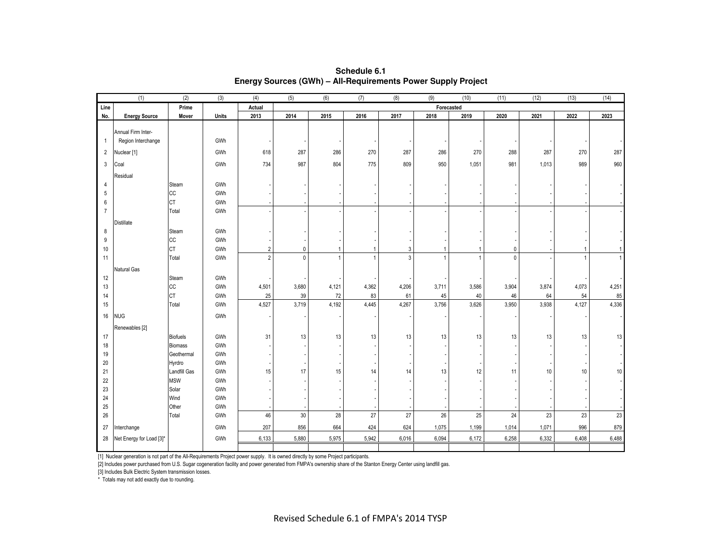|                | (1)                                      | (2)             | (3)   | (4)            | (5)   | (6)          | (7)          | (8)          | (9)   | (10)           | (11)         | (12)  | (13)  | (14)         |
|----------------|------------------------------------------|-----------------|-------|----------------|-------|--------------|--------------|--------------|-------|----------------|--------------|-------|-------|--------------|
| Line           | Prime                                    |                 |       | Actual         |       |              |              |              |       | Forecasted     |              |       |       |              |
| No.            | <b>Energy Source</b>                     | Mover           | Units | 2013           | 2014  | 2015         | 2016         | 2017         | 2018  | 2019           | 2020         | 2021  | 2022  | 2023         |
|                |                                          |                 |       |                |       |              |              |              |       |                |              |       |       |              |
| $\overline{1}$ | Annual Firm Inter-<br>Region Interchange |                 | GWh   |                |       |              |              |              |       |                |              |       |       |              |
|                |                                          |                 |       |                |       |              |              |              |       |                |              |       |       |              |
| $\overline{2}$ | Nuclear <sup>[1]</sup>                   |                 | GWh   | 618            | 287   | 286          | 270          | 287          | 286   | 270            | 288          | 287   | 270   | 287          |
| $\mathbf{3}$   | Coal                                     |                 | GWh   | 734            | 987   | 804          | 775          | 809          | 950   | 1,051          | 981          | 1,013 | 989   | 960          |
|                | Residual                                 |                 |       |                |       |              |              |              |       |                |              |       |       |              |
| 4              |                                          | Steam           | GWh   |                |       |              |              |              |       |                |              |       |       |              |
| 5              |                                          | cc              | GWh   |                |       |              |              |              |       |                |              |       |       |              |
| 6              |                                          | <b>CT</b>       | GWh   |                |       |              |              |              |       |                |              |       |       |              |
| $\overline{7}$ |                                          | Total           | GWh   |                |       |              |              |              |       |                |              |       |       |              |
|                | Distillate                               |                 |       |                |       |              |              |              |       |                |              |       |       |              |
| 8              |                                          | Steam           | GWh   |                |       |              |              |              |       |                |              |       |       |              |
| 9              |                                          | cc              | GWh   |                |       |              |              |              |       |                |              |       |       |              |
| 10             |                                          | <b>CT</b>       | GWh   | $\overline{2}$ | 0     | $\mathbf{1}$ | 1            | $\mathbf{3}$ | -1    | -1             | $\mathbf 0$  |       |       | $\mathbf{1}$ |
| 11             |                                          | Total           | GWh   | $\overline{2}$ | 0     | $\mathbf{1}$ | $\mathbf{1}$ | $\mathbf{3}$ |       | $\overline{1}$ | $\mathbf{0}$ |       |       | $\mathbf{1}$ |
|                | Natural Gas                              |                 |       |                |       |              |              |              |       |                |              |       |       |              |
| 12             |                                          | Steam           | GWh   |                |       |              |              |              |       |                |              |       |       |              |
| 13             |                                          | cc              | GWh   | 4,501          | 3,680 | 4,121        | 4,362        | 4,206        | 3,711 | 3,586          | 3,904        | 3,874 | 4,073 | 4,251        |
| 14             |                                          | <b>CT</b>       | GWh   | 25             | 39    | $72\,$       | 83           | 61           | 45    | 40             | 46           | 64    | 54    | 85           |
| 15             |                                          | Total           | GWh   | 4,527          | 3,719 | 4,192        | 4,445        | 4,267        | 3,756 | 3,626          | 3,950        | 3,938 | 4,127 | 4,336        |
| 16             | <b>NUG</b>                               |                 | GWh   |                |       |              |              |              |       |                |              |       |       |              |
|                | Renewables [2]                           |                 |       |                |       |              |              |              |       |                |              |       |       |              |
| 17             |                                          | <b>Biofuels</b> | GWh   | 31             | 13    | 13           | 13           | 13           | 13    | 13             | 13           | 13    | 13    | 13           |
| 18             |                                          | <b>Biomass</b>  | GWh   |                |       |              |              |              |       |                |              |       |       |              |
| 19             |                                          | Geothermal      | GWh   |                |       |              |              |              |       |                |              |       |       |              |
| 20             |                                          | Hyrdro          | GWh   |                |       |              |              |              |       |                |              |       |       |              |
| 21             |                                          | Landfill Gas    | GWh   | 15             | 17    | 15           | 14           | 14           | 13    | 12             | 11           | $10$  | 10    | $10\,$       |
| 22             |                                          | <b>MSW</b>      | GWh   |                |       |              |              |              |       |                |              |       |       |              |
| 23             |                                          | Solar           | GWh   |                |       |              |              |              |       |                |              |       |       |              |
| 24             |                                          | Wind            | GWh   |                |       |              |              |              |       |                |              |       |       |              |
| 25             |                                          | Other           | GWh   |                |       |              |              |              |       |                |              |       |       |              |
| 26             |                                          | Total           | GWh   | 46             | 30    | $28\,$       | 27           | 27           | 26    | $25\,$         | 24           | 23    | 23    | 23           |
| 27             | Interchange                              |                 | GWh   | 207            | 856   | 664          | 424          | 624          | 1,075 | 1,199          | 1,014        | 1,071 | 996   | 879          |
| 28             | Net Energy for Load [3]*                 |                 | GWh   | 6,133          | 5,880 | 5,975        | 5,942        | 6,016        | 6,094 | 6,172          | 6,258        | 6,332 | 6,408 | 6,488        |
|                |                                          |                 |       |                |       |              |              |              |       |                |              |       |       |              |

**Schedule 6.1Energy Sources (GWh) – All-Requirements Power Supply Project**

[1] Nuclear generation is not part of the All-Requirements Project power supply. It is owned directly by some Project participants.

[2] Includes power purchased from U.S. Sugar cogeneration facility and power generated from FMPA's ownership share of the Stanton Energy Center using landfill gas.

[3] Includes Bulk Electric System transmission losses.

\* Totals may not add exactly due to rounding.